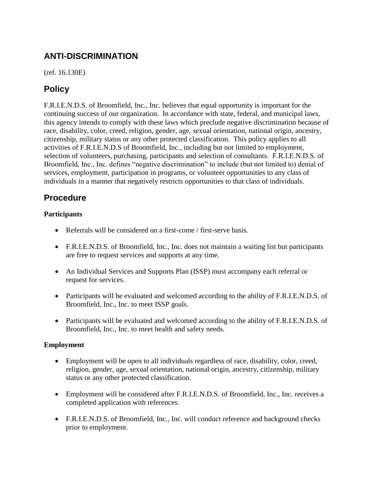# **ANTI-DISCRIMINATION**

(ref. 16.130E)

## **Policy**

F.R.I.E.N.D.S. of Broomfield, Inc., Inc. believes that equal opportunity is important for the continuing success of our organization. In accordance with state, federal, and municipal laws, this agency intends to comply with these laws which preclude negative discrimination because of race, disability, color, creed, religion, gender, age, sexual orientation, national origin, ancestry, citizenship, military status or any other protected classification. This policy applies to all activities of F.R.I.E.N.D.S of Broomfield, Inc., including but not limited to employment, selection of volunteers, purchasing, participants and selection of consultants. F.R.I.E.N.D.S. of Broomfield, Inc., Inc. defines "negative discrimination" to include (but not limited to) denial of services, employment, participation in programs, or volunteer opportunities to any class of individuals in a manner that negatively restricts opportunities to that class of individuals.

### **Procedure**

### **Participants**

- Referrals will be considered on a first-come / first-serve basis.
- F.R.I.E.N.D.S. of Broomfield, Inc., Inc. does not maintain a waiting list but participants are free to request services and supports at any time.
- An Individual Services and Supports Plan (ISSP) must accompany each referral or request for services.
- Participants will be evaluated and welcomed according to the ability of F.R.I.E.N.D.S. of Broomfield, Inc., Inc. to meet ISSP goals.
- Participants will be evaluated and welcomed according to the ability of F.R.I.E.N.D.S. of Broomfield, Inc., Inc. to meet health and safety needs.

### **Employment**

- Employment will be open to all individuals regardless of race, disability, color, creed, religion, gender, age, sexual orientation, national origin, ancestry, citizenship, military status or any other protected classification.
- Employment will be considered after F.R.I.E.N.D.S. of Broomfield, Inc., Inc. receives a completed application with references.
- F.R.I.E.N.D.S. of Broomfield, Inc., Inc. will conduct reference and background checks prior to employment.